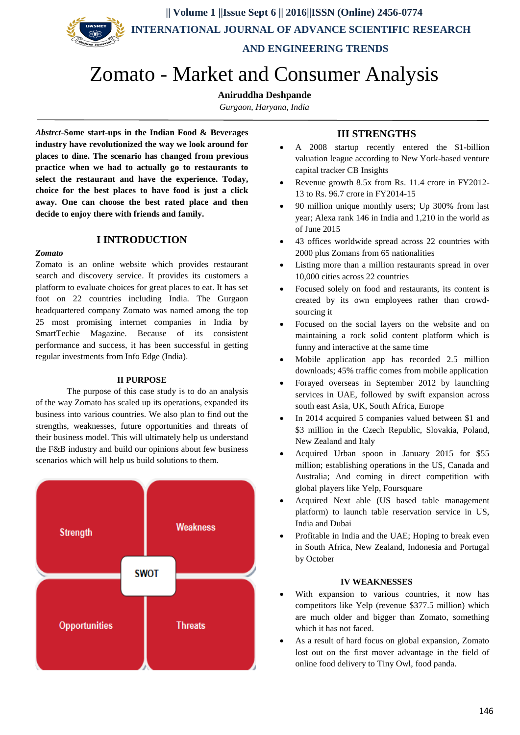**AND ENGINEERING TRENDS**

# Zomato - Market and Consumer Analysis

# **Aniruddha Deshpande**

*Gurgaon, Haryana, India*

*Abstrct*-**Some start-ups in the Indian Food & Beverages industry have revolutionized the way we look around for places to dine. The scenario has changed from previous practice when we had to actually go to restaurants to select the restaurant and have the experience. Today, choice for the best places to have food is just a click away. One can choose the best rated place and then decide to enjoy there with friends and family.** 

# **I INTRODUCTION**

### *Zomato*

Zomato is an online website which provides restaurant search and discovery service. It provides its customers a platform to evaluate choices for great places to eat. It has set foot on 22 countries including India. The Gurgaon headquartered company Zomato was named among the top 25 most promising internet companies in India by SmartTechie Magazine. Because of its consistent performance and success, it has been successful in getting regular investments from Info Edge (India).

#### **II PURPOSE**

The purpose of this case study is to do an analysis of the way Zomato has scaled up its operations, expanded its business into various countries. We also plan to find out the strengths, weaknesses, future opportunities and threats of their business model. This will ultimately help us understand the F&B industry and build our opinions about few business scenarios which will help us build solutions to them.



# **III STRENGTHS**

- A 2008 startup recently entered the \$1-billion valuation league according to New York-based venture capital tracker CB Insights
- Revenue growth 8.5x from Rs. 11.4 crore in FY2012- 13 to Rs. 96.7 crore in FY2014-15
- 90 million unique monthly users; Up 300% from last year; Alexa rank 146 in India and 1,210 in the world as of June 2015
- 43 offices worldwide spread across 22 countries with 2000 plus Zomans from 65 nationalities
- Listing more than a million restaurants spread in over 10,000 cities across 22 countries
- Focused solely on food and restaurants, its content is created by its own employees rather than crowdsourcing it
- Focused on the social layers on the website and on maintaining a rock solid content platform which is funny and interactive at the same time
- Mobile application app has recorded 2.5 million downloads; 45% traffic comes from mobile application
- Forayed overseas in September 2012 by launching services in UAE, followed by swift expansion across south east Asia, UK, South Africa, Europe
- In 2014 acquired 5 companies valued between \$1 and \$3 million in the Czech Republic, Slovakia, Poland, New Zealand and Italy
- Acquired Urban spoon in January 2015 for \$55 million; establishing operations in the US, Canada and Australia; And coming in direct competition with global players like Yelp, Foursquare
- Acquired Next able (US based table management platform) to launch table reservation service in US, India and Dubai
- Profitable in India and the UAE; Hoping to break even in South Africa, New Zealand, Indonesia and Portugal by October

#### **IV WEAKNESSES**

- With expansion to various countries, it now has competitors like Yelp (revenue \$377.5 million) which are much older and bigger than Zomato, something which it has not faced.
- As a result of hard focus on global expansion, Zomato lost out on the first mover advantage in the field of online food delivery to Tiny Owl, food panda.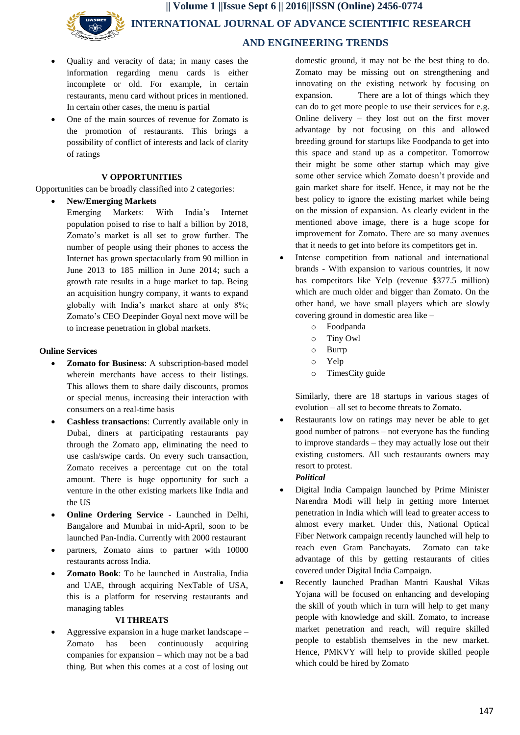- Quality and veracity of data; in many cases the information regarding menu cards is either incomplete or old. For example, in certain restaurants, menu card without prices in mentioned. In certain other cases, the menu is partial
- One of the main sources of revenue for Zomato is the promotion of restaurants. This brings a possibility of conflict of interests and lack of clarity of ratings

### **V OPPORTUNITIES**

Opportunities can be broadly classified into 2 categories:

#### **New/Emerging Markets**

Emerging Markets: With India's Internet population poised to rise to half a billion by 2018, Zomato's market is all set to grow further. The number of people using their phones to access the Internet has grown spectacularly from 90 million in June 2013 to 185 million in June 2014; such a growth rate results in a huge market to tap. Being an acquisition hungry company, it wants to expand globally with India's market share at only 8%; Zomato's CEO Deepinder Goyal next move will be to increase penetration in global markets.

#### **Online Services**

- **Zomato for Business**: A subscription-based model wherein merchants have access to their listings. This allows them to share daily discounts, promos or special menus, increasing their interaction with consumers on a real-time basis
- **Cashless transactions**: Currently available only in Dubai, diners at participating restaurants pay through the Zomato app, eliminating the need to use cash/swipe cards. On every such transaction, Zomato receives a percentage cut on the total amount. There is huge opportunity for such a venture in the other existing markets like India and the US
- **Online Ordering Service** Launched in Delhi, Bangalore and Mumbai in mid-April, soon to be launched Pan-India. Currently with 2000 restaurant
- partners, Zomato aims to partner with 10000 restaurants across India.
- **Zomato Book**: To be launched in Australia, India and UAE, through acquiring NexTable of USA, this is a platform for reserving restaurants and managing tables

#### **VI THREATS**

 Aggressive expansion in a huge market landscape – Zomato has been continuously acquiring companies for expansion – which may not be a bad thing. But when this comes at a cost of losing out

domestic ground, it may not be the best thing to do. Zomato may be missing out on strengthening and innovating on the existing network by focusing on expansion. There are a lot of things which they can do to get more people to use their services for e.g. Online delivery – they lost out on the first mover advantage by not focusing on this and allowed breeding ground for startups like Foodpanda to get into this space and stand up as a competitor. Tomorrow their might be some other startup which may give some other service which Zomato doesn't provide and gain market share for itself. Hence, it may not be the best policy to ignore the existing market while being on the mission of expansion. As clearly evident in the mentioned above image, there is a huge scope for improvement for Zomato. There are so many avenues that it needs to get into before its competitors get in.

- Intense competition from national and international brands - With expansion to various countries, it now has competitors like Yelp (revenue \$377.5 million) which are much older and bigger than Zomato. On the other hand, we have small players which are slowly covering ground in domestic area like –
	- o Foodpanda
	- o Tiny Owl
	- o Burrp
	- o Yelp
	- o TimesCity guide

Similarly, there are 18 startups in various stages of evolution – all set to become threats to Zomato.

 Restaurants low on ratings may never be able to get good number of patrons – not everyone has the funding to improve standards – they may actually lose out their existing customers. All such restaurants owners may resort to protest.

# *Political*

- Digital India Campaign launched by Prime Minister Narendra Modi will help in getting more Internet penetration in India which will lead to greater access to almost every market. Under this, National Optical Fiber Network campaign recently launched will help to reach even Gram Panchayats. Zomato can take advantage of this by getting restaurants of cities covered under Digital India Campaign.
- Recently launched Pradhan Mantri Kaushal Vikas Yojana will be focused on enhancing and developing the skill of youth which in turn will help to get many people with knowledge and skill. Zomato, to increase market penetration and reach, will require skilled people to establish themselves in the new market. Hence, PMKVY will help to provide skilled people which could be hired by Zomato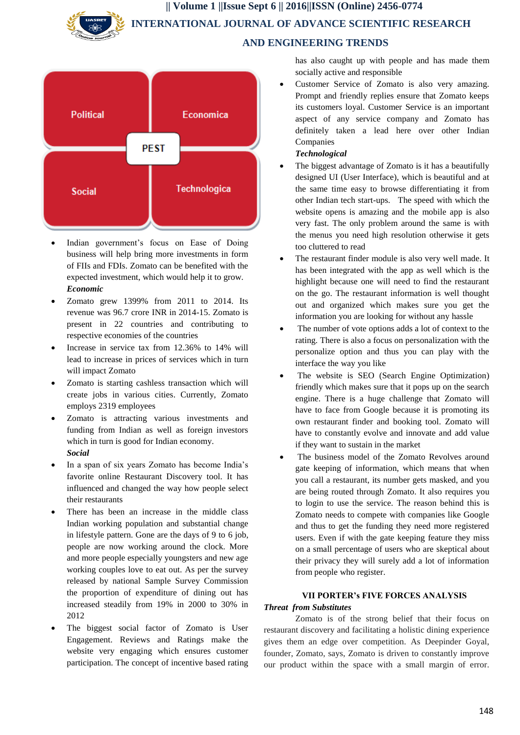# **AND ENGINEERING TRENDS**



- Indian government's focus on Ease of Doing business will help bring more investments in form of FIIs and FDIs. Zomato can be benefited with the expected investment, which would help it to grow. *Economic*
- Zomato grew 1399% from 2011 to 2014. Its revenue was 96.7 crore INR in 2014-15. Zomato is present in 22 countries and contributing to respective economies of the countries
- Increase in service tax from 12.36% to 14% will lead to increase in prices of services which in turn will impact Zomato
- Zomato is starting cashless transaction which will create jobs in various cities. Currently, Zomato employs 2319 employees
- Zomato is attracting various investments and funding from Indian as well as foreign investors which in turn is good for Indian economy. *Social*
- In a span of six years Zomato has become India's favorite online Restaurant Discovery tool. It has influenced and changed the way how people select their restaurants
- There has been an increase in the middle class Indian working population and substantial change in lifestyle pattern. Gone are the days of 9 to 6 job, people are now working around the clock. More and more people especially youngsters and new age working couples love to eat out. As per the survey released by national Sample Survey Commission the proportion of expenditure of dining out has increased steadily from 19% in 2000 to 30% in 2012
- The biggest social factor of Zomato is User Engagement. Reviews and Ratings make the website very engaging which ensures customer participation. The concept of incentive based rating

has also caught up with people and has made them socially active and responsible

 Customer Service of Zomato is also very amazing. Prompt and friendly replies ensure that Zomato keeps its customers loyal. Customer Service is an important aspect of any service company and Zomato has definitely taken a lead here over other Indian Companies

# *Technological*

- The biggest advantage of Zomato is it has a beautifully designed UI (User Interface), which is beautiful and at the same time easy to browse differentiating it from other Indian tech start-ups. The speed with which the website opens is amazing and the mobile app is also very fast. The only problem around the same is with the menus you need high resolution otherwise it gets too cluttered to read
- The restaurant finder module is also very well made. It has been integrated with the app as well which is the highlight because one will need to find the restaurant on the go. The restaurant information is well thought out and organized which makes sure you get the information you are looking for without any hassle
- The number of vote options adds a lot of context to the rating. There is also a focus on personalization with the personalize option and thus you can play with the interface the way you like
- The website is SEO (Search Engine Optimization) friendly which makes sure that it pops up on the search engine. There is a huge challenge that Zomato will have to face from Google because it is promoting its own restaurant finder and booking tool. Zomato will have to constantly evolve and innovate and add value if they want to sustain in the market
- The business model of the Zomato Revolves around gate keeping of information, which means that when you call a restaurant, its number gets masked, and you are being routed through Zomato. It also requires you to login to use the service. The reason behind this is Zomato needs to compete with companies like Google and thus to get the funding they need more registered users. Even if with the gate keeping feature they miss on a small percentage of users who are skeptical about their privacy they will surely add a lot of information from people who register.

# **VII PORTER's FIVE FORCES ANALYSIS**

# *Threat from Substitutes*

Zomato is of the strong belief that their focus on restaurant discovery and facilitating a holistic dining experience gives them an edge over competition. As Deepinder Goyal, founder, Zomato, says, Zomato is driven to constantly improve our product within the space with a small margin of error.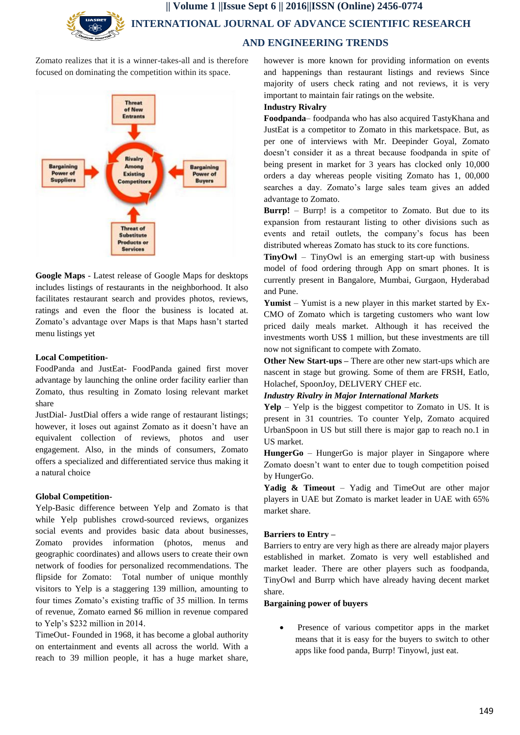Zomato realizes that it is a winner-takes-all and is therefore focused on dominating the competition within its space.



**Google Maps** - Latest release of Google Maps for desktops includes listings of restaurants in the neighborhood. It also facilitates restaurant search and provides photos, reviews, ratings and even the floor the business is located at. Zomato's advantage over Maps is that Maps hasn't started menu listings yet

# **Local Competition-**

FoodPanda and JustEat- FoodPanda gained first mover advantage by launching the online order facility earlier than Zomato, thus resulting in Zomato losing relevant market share

JustDial- JustDial offers a wide range of restaurant listings; however, it loses out against Zomato as it doesn't have an equivalent collection of reviews, photos and user engagement. Also, in the minds of consumers, Zomato offers a specialized and differentiated service thus making it a natural choice

# **Global Competition-**

Yelp-Basic difference between Yelp and Zomato is that while Yelp publishes crowd-sourced reviews, organizes social events and provides basic data about businesses, Zomato provides information (photos, menus and geographic coordinates) and allows users to create their own network of foodies for personalized recommendations. The flipside for Zomato: Total number of unique monthly visitors to Yelp is a staggering 139 million, amounting to four times Zomato's existing traffic of 35 million. In terms of revenue, Zomato earned \$6 million in revenue compared to Yelp's \$232 million in 2014.

TimeOut- Founded in 1968, it has become a global authority on entertainment and events all across the world. With a reach to 39 million people, it has a huge market share,

however is more known for providing information on events and happenings than restaurant listings and reviews Since majority of users check rating and not reviews, it is very important to maintain fair ratings on the website.

# **Industry Rivalry**

**Foodpanda**– foodpanda who has also acquired TastyKhana and JustEat is a competitor to Zomato in this marketspace. But, as per one of interviews with Mr. Deepinder Goyal, Zomato doesn't consider it as a threat because foodpanda in spite of being present in market for 3 years has clocked only 10,000 orders a day whereas people visiting Zomato has 1, 00,000 searches a day. Zomato's large sales team gives an added advantage to Zomato.

**Burrp!** – Burrp! is a competitor to Zomato. But due to its expansion from restaurant listing to other divisions such as events and retail outlets, the company's focus has been distributed whereas Zomato has stuck to its core functions.

**TinyOwl** – TinyOwl is an emerging start-up with business model of food ordering through App on smart phones. It is currently present in Bangalore, Mumbai, Gurgaon, Hyderabad and Pune.

**Yumist** – Yumist is a new player in this market started by Ex-CMO of Zomato which is targeting customers who want low priced daily meals market. Although it has received the investments worth US\$ 1 million, but these investments are till now not significant to compete with Zomato.

**Other New Start-ups –** There are other new start-ups which are nascent in stage but growing. Some of them are FRSH, Eatlo, Holachef, SpoonJoy, DELIVERY CHEF etc.

# *Industry Rivalry in Major International Markets*

**Yelp** – Yelp is the biggest competitor to Zomato in US. It is present in 31 countries. To counter Yelp, Zomato acquired UrbanSpoon in US but still there is major gap to reach no.1 in US market.

**HungerGo** – HungerGo is major player in Singapore where Zomato doesn't want to enter due to tough competition poised by HungerGo.

**Yadig & Timeout** – Yadig and TimeOut are other major players in UAE but Zomato is market leader in UAE with 65% market share.

# **Barriers to Entry –**

Barriers to entry are very high as there are already major players established in market. Zomato is very well established and market leader. There are other players such as foodpanda, TinyOwl and Burrp which have already having decent market share.

#### **Bargaining power of buyers**

 Presence of various competitor apps in the market means that it is easy for the buyers to switch to other apps like food panda, Burrp! Tinyowl, just eat.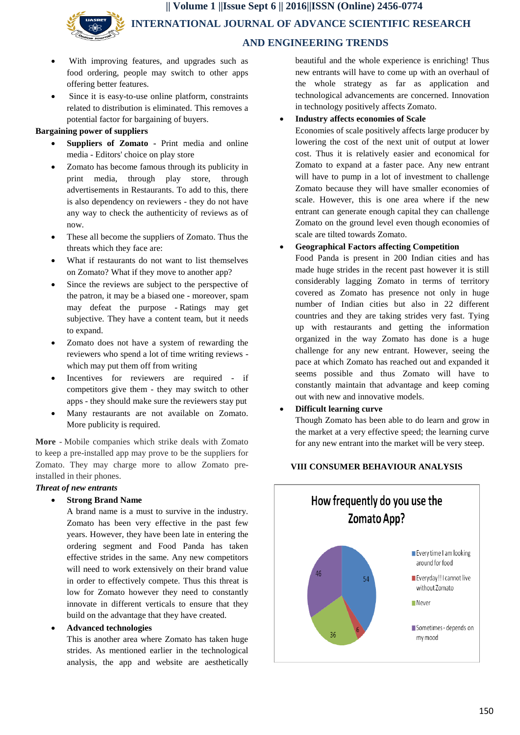- With improving features, and upgrades such as food ordering, people may switch to other apps offering better features.
- Since it is easy-to-use online platform, constraints related to distribution is eliminated. This removes a potential factor for bargaining of buyers.

# **Bargaining power of suppliers**

- **Suppliers of Zomato -** Print media and online media - Editors' choice on play store
- Zomato has become famous through its publicity in print media, through play store, through advertisements in Restaurants. To add to this, there is also dependency on reviewers - they do not have any way to check the authenticity of reviews as of now.
- These all become the suppliers of Zomato. Thus the threats which they face are:
- What if restaurants do not want to list themselves on Zomato? What if they move to another app?
- Since the reviews are subject to the perspective of the patron, it may be a biased one - moreover, spam may defeat the purpose - Ratings may get subjective. They have a content team, but it needs to expand.
- Zomato does not have a system of rewarding the reviewers who spend a lot of time writing reviews which may put them off from writing
- Incentives for reviewers are required if competitors give them - they may switch to other apps - they should make sure the reviewers stay put
- Many restaurants are not available on Zomato. More publicity is required.

**More** - Mobile companies which strike deals with Zomato to keep a pre-installed app may prove to be the suppliers for Zomato. They may charge more to allow Zomato preinstalled in their phones.

### *Threat of new entrants*

### **Strong Brand Name**

A brand name is a must to survive in the industry. Zomato has been very effective in the past few years. However, they have been late in entering the ordering segment and Food Panda has taken effective strides in the same. Any new competitors will need to work extensively on their brand value in order to effectively compete. Thus this threat is low for Zomato however they need to constantly innovate in different verticals to ensure that they build on the advantage that they have created.

#### **Advanced technologies**

This is another area where Zomato has taken huge strides. As mentioned earlier in the technological analysis, the app and website are aesthetically beautiful and the whole experience is enriching! Thus new entrants will have to come up with an overhaul of the whole strategy as far as application and technological advancements are concerned. Innovation in technology positively affects Zomato.

### **Industry affects economies of Scale**

Economies of scale positively affects large producer by lowering the cost of the next unit of output at lower cost. Thus it is relatively easier and economical for Zomato to expand at a faster pace. Any new entrant will have to pump in a lot of investment to challenge Zomato because they will have smaller economies of scale. However, this is one area where if the new entrant can generate enough capital they can challenge Zomato on the ground level even though economies of scale are tilted towards Zomato.

# **Geographical Factors affecting Competition**

Food Panda is present in 200 Indian cities and has made huge strides in the recent past however it is still considerably lagging Zomato in terms of territory covered as Zomato has presence not only in huge number of Indian cities but also in 22 different countries and they are taking strides very fast. Tying up with restaurants and getting the information organized in the way Zomato has done is a huge challenge for any new entrant. However, seeing the pace at which Zomato has reached out and expanded it seems possible and thus Zomato will have to constantly maintain that advantage and keep coming out with new and innovative models.

#### **Difficult learning curve**

Though Zomato has been able to do learn and grow in the market at a very effective speed; the learning curve for any new entrant into the market will be very steep.

# **VIII CONSUMER BEHAVIOUR ANALYSIS**

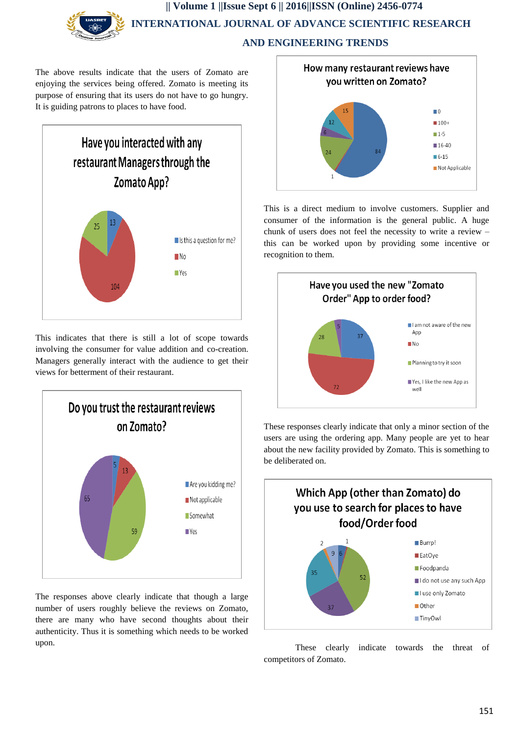The above results indicate that the users of Zomato are enjoying the services being offered. Zomato is meeting its purpose of ensuring that its users do not have to go hungry. It is guiding patrons to places to have food.



This indicates that there is still a lot of scope towards involving the consumer for value addition and co-creation. Managers generally interact with the audience to get their views for betterment of their restaurant.



The responses above clearly indicate that though a large number of users roughly believe the reviews on Zomato, there are many who have second thoughts about their authenticity. Thus it is something which needs to be worked upon.



This is a direct medium to involve customers. Supplier and consumer of the information is the general public. A huge chunk of users does not feel the necessity to write a review – this can be worked upon by providing some incentive or recognition to them.



These responses clearly indicate that only a minor section of the users are using the ordering app. Many people are yet to hear about the new facility provided by Zomato. This is something to be deliberated on.



These clearly indicate towards the threat of competitors of Zomato.